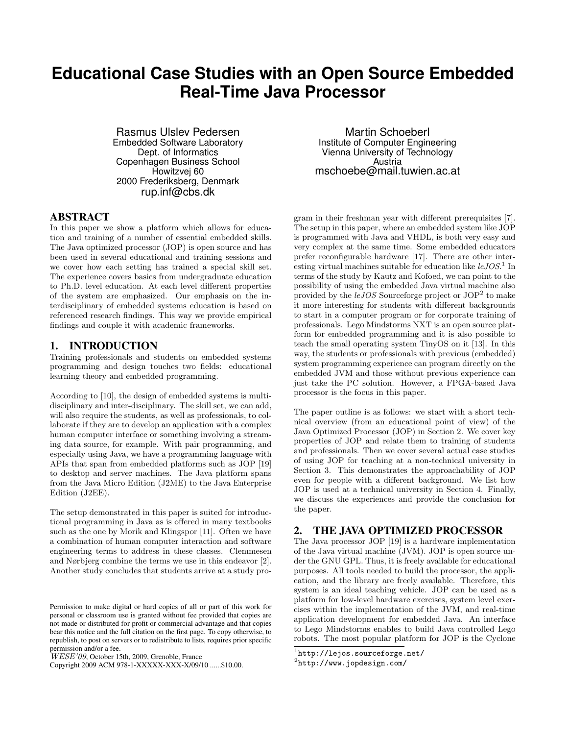# **Educational Case Studies with an Open Source Embedded Real-Time Java Processor**

Rasmus Ulslev Pedersen Embedded Software Laboratory Dept. of Informatics Copenhagen Business School Howitzvej 60 2000 Frederiksberg, Denmark rup.inf@cbs.dk

#### ABSTRACT

In this paper we show a platform which allows for education and training of a number of essential embedded skills. The Java optimized processor (JOP) is open source and has been used in several educational and training sessions and we cover how each setting has trained a special skill set. The experience covers basics from undergraduate education to Ph.D. level education. At each level different properties of the system are emphasized. Our emphasis on the interdisciplinary of embedded systems education is based on referenced research findings. This way we provide empirical findings and couple it with academic frameworks.

#### 1. INTRODUCTION

Training professionals and students on embedded systems programming and design touches two fields: educational learning theory and embedded programming.

According to [10], the design of embedded systems is multidisciplinary and inter-disciplinary. The skill set, we can add, will also require the students, as well as professionals, to collaborate if they are to develop an application with a complex human computer interface or something involving a streaming data source, for example. With pair programming, and especially using Java, we have a programming language with APIs that span from embedded platforms such as JOP [19] to desktop and server machines. The Java platform spans from the Java Micro Edition (J2ME) to the Java Enterprise Edition (J2EE).

The setup demonstrated in this paper is suited for introductional programming in Java as is offered in many textbooks such as the one by Morik and Klingspor [11]. Often we have a combination of human computer interaction and software engineering terms to address in these classes. Clemmesen and Nørbjerg combine the terms we use in this endeavor [2]. Another study concludes that students arrive at a study pro-

Copyright 2009 ACM 978-1-XXXXX-XXX-X/09/10 ......\$10.00.

Martin Schoeberl Institute of Computer Engineering Vienna University of Technology Austria mschoebe@mail.tuwien.ac.at

gram in their freshman year with different prerequisites [7]. The setup in this paper, where an embedded system like JOP is programmed with Java and VHDL, is both very easy and very complex at the same time. Some embedded educators prefer reconfigurable hardware [17]. There are other interesting virtual machines suitable for education like  $leJOS.$ <sup>1</sup> In terms of the study by Kautz and Kofoed, we can point to the possibility of using the embedded Java virtual machine also provided by the  $leJOS$  Sourceforge project or  $JOP<sup>2</sup>$  to make it more interesting for students with different backgrounds to start in a computer program or for corporate training of professionals. Lego Mindstorms NXT is an open source platform for embedded programming and it is also possible to teach the small operating system TinyOS on it [13]. In this way, the students or professionals with previous (embedded) system programming experience can program directly on the embedded JVM and those without previous experience can just take the PC solution. However, a FPGA-based Java processor is the focus in this paper.

The paper outline is as follows: we start with a short technical overview (from an educational point of view) of the Java Optimized Processor (JOP) in Section 2. We cover key properties of JOP and relate them to training of students and professionals. Then we cover several actual case studies of using JOP for teaching at a non-technical university in Section 3. This demonstrates the approachability of JOP even for people with a different background. We list how JOP is used at a technical university in Section 4. Finally, we discuss the experiences and provide the conclusion for the paper.

# 2. THE JAVA OPTIMIZED PROCESSOR

The Java processor JOP [19] is a hardware implementation of the Java virtual machine (JVM). JOP is open source under the GNU GPL. Thus, it is freely available for educational purposes. All tools needed to build the processor, the application, and the library are freely available. Therefore, this system is an ideal teaching vehicle. JOP can be used as a platform for low-level hardware exercises, system level exercises within the implementation of the JVM, and real-time application development for embedded Java. An interface to Lego Mindstorms enables to build Java controlled Lego robots. The most popular platform for JOP is the Cyclone

Permission to make digital or hard copies of all or part of this work for personal or classroom use is granted without fee provided that copies are not made or distributed for profit or commercial advantage and that copies bear this notice and the full citation on the first page. To copy otherwise, to republish, to post on servers or to redistribute to lists, requires prior specific permission and/or a fee.

 $WESE'09$ , October 15th, 2009, Grenoble, France

<sup>1</sup> http://lejos.sourceforge.net/

 $^{2}$ http://www.jopdesign.com/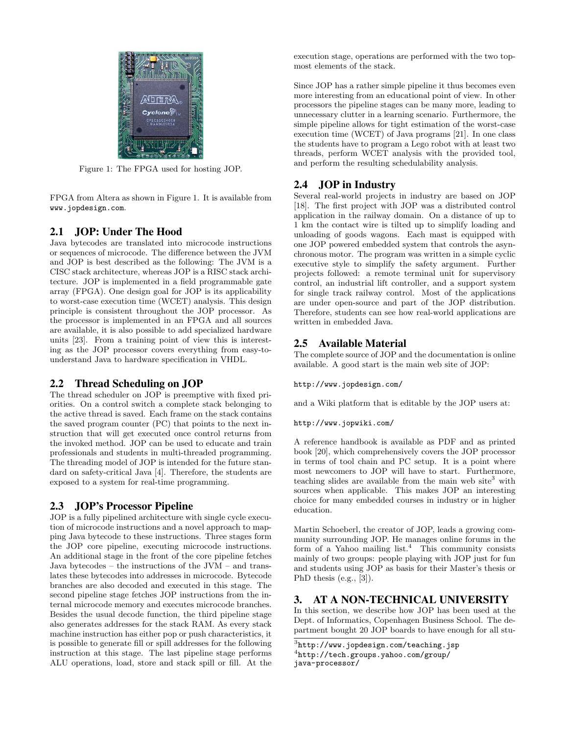

Figure 1: The FPGA used for hosting JOP.

FPGA from Altera as shown in Figure 1. It is available from www.jopdesign.com.

## 2.1 JOP: Under The Hood

Java bytecodes are translated into microcode instructions or sequences of microcode. The difference between the JVM and JOP is best described as the following: The JVM is a CISC stack architecture, whereas JOP is a RISC stack architecture. JOP is implemented in a field programmable gate array (FPGA). One design goal for JOP is its applicability to worst-case execution time (WCET) analysis. This design principle is consistent throughout the JOP processor. As the processor is implemented in an FPGA and all sources are available, it is also possible to add specialized hardware units [23]. From a training point of view this is interesting as the JOP processor covers everything from easy-tounderstand Java to hardware specification in VHDL.

# 2.2 Thread Scheduling on JOP

The thread scheduler on JOP is preemptive with fixed priorities. On a control switch a complete stack belonging to the active thread is saved. Each frame on the stack contains the saved program counter (PC) that points to the next instruction that will get executed once control returns from the invoked method. JOP can be used to educate and train professionals and students in multi-threaded programming. The threading model of JOP is intended for the future standard on safety-critical Java [4]. Therefore, the students are exposed to a system for real-time programming.

# 2.3 JOP's Processor Pipeline

JOP is a fully pipelined architecture with single cycle execution of microcode instructions and a novel approach to mapping Java bytecode to these instructions. Three stages form the JOP core pipeline, executing microcode instructions. An additional stage in the front of the core pipeline fetches Java bytecodes – the instructions of the JVM – and translates these bytecodes into addresses in microcode. Bytecode branches are also decoded and executed in this stage. The second pipeline stage fetches JOP instructions from the internal microcode memory and executes microcode branches. Besides the usual decode function, the third pipeline stage also generates addresses for the stack RAM. As every stack machine instruction has either pop or push characteristics, it is possible to generate fill or spill addresses for the following instruction at this stage. The last pipeline stage performs ALU operations, load, store and stack spill or fill. At the execution stage, operations are performed with the two topmost elements of the stack.

Since JOP has a rather simple pipeline it thus becomes even more interesting from an educational point of view. In other processors the pipeline stages can be many more, leading to unnecessary clutter in a learning scenario. Furthermore, the simple pipeline allows for tight estimation of the worst-case execution time (WCET) of Java programs [21]. In one class the students have to program a Lego robot with at least two threads, perform WCET analysis with the provided tool, and perform the resulting schedulability analysis.

## 2.4 JOP in Industry

Several real-world projects in industry are based on JOP [18]. The first project with JOP was a distributed control application in the railway domain. On a distance of up to 1 km the contact wire is tilted up to simplify loading and unloading of goods wagons. Each mast is equipped with one JOP powered embedded system that controls the asynchronous motor. The program was written in a simple cyclic executive style to simplify the safety argument. Further projects followed: a remote terminal unit for supervisory control, an industrial lift controller, and a support system for single track railway control. Most of the applications are under open-source and part of the JOP distribution. Therefore, students can see how real-world applications are written in embedded Java.

## 2.5 Available Material

The complete source of JOP and the documentation is online available. A good start is the main web site of JOP:

http://www.jopdesign.com/

and a Wiki platform that is editable by the JOP users at:

http://www.jopwiki.com/

A reference handbook is available as PDF and as printed book [20], which comprehensively covers the JOP processor in terms of tool chain and PC setup. It is a point where most newcomers to JOP will have to start. Furthermore, teaching slides are available from the main web site<sup>3</sup> with sources when applicable. This makes JOP an interesting choice for many embedded courses in industry or in higher education.

Martin Schoeberl, the creator of JOP, leads a growing community surrounding JOP. He manages online forums in the form of a Yahoo mailing list.<sup>4</sup> This community consists mainly of two groups: people playing with JOP just for fun and students using JOP as basis for their Master's thesis or PhD thesis (e.g., [3]).

## 3. AT A NON-TECHNICAL UNIVERSITY

In this section, we describe how JOP has been used at the Dept. of Informatics, Copenhagen Business School. The department bought 20 JOP boards to have enough for all stu-

 $^3$ http://www.jopdesign.com/teaching.jsp 4 http://tech.groups.yahoo.com/group/ java-processor/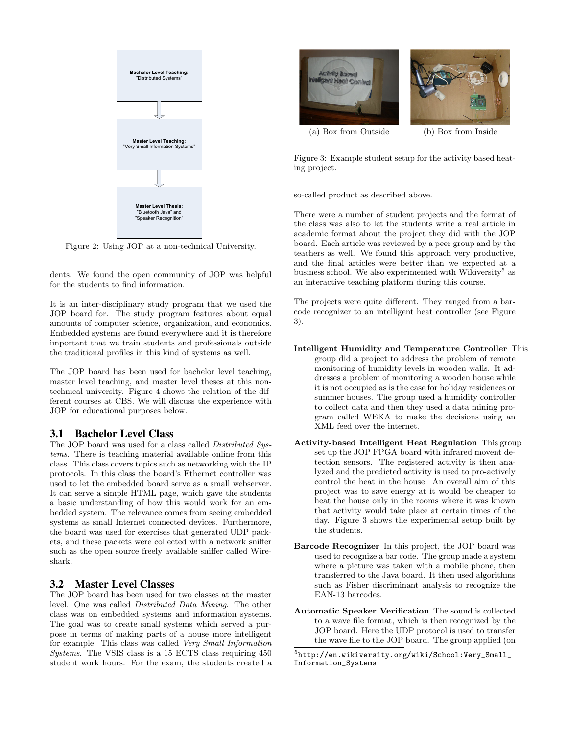

Figure 2: Using JOP at a non-technical University.

dents. We found the open community of JOP was helpful for the students to find information.

It is an inter-disciplinary study program that we used the JOP board for. The study program features about equal amounts of computer science, organization, and economics. Embedded systems are found everywhere and it is therefore important that we train students and professionals outside the traditional profiles in this kind of systems as well.

The JOP board has been used for bachelor level teaching, master level teaching, and master level theses at this nontechnical university. Figure 4 shows the relation of the different courses at CBS. We will discuss the experience with JOP for educational purposes below.

#### 3.1 Bachelor Level Class

The JOP board was used for a class called Distributed Systems. There is teaching material available online from this class. This class covers topics such as networking with the IP protocols. In this class the board's Ethernet controller was used to let the embedded board serve as a small webserver. It can serve a simple HTML page, which gave the students a basic understanding of how this would work for an embedded system. The relevance comes from seeing embedded systems as small Internet connected devices. Furthermore, the board was used for exercises that generated UDP packets, and these packets were collected with a network sniffer such as the open source freely available sniffer called Wireshark.

#### 3.2 Master Level Classes

The JOP board has been used for two classes at the master level. One was called Distributed Data Mining. The other class was on embedded systems and information systems. The goal was to create small systems which served a purpose in terms of making parts of a house more intelligent for example. This class was called Very Small Information Systems. The VSIS class is a 15 ECTS class requiring 450 student work hours. For the exam, the students created a



Figure 3: Example student setup for the activity based heating project.

so-called product as described above.

There were a number of student projects and the format of the class was also to let the students write a real article in academic format about the project they did with the JOP board. Each article was reviewed by a peer group and by the teachers as well. We found this approach very productive, and the final articles were better than we expected at a business school. We also experimented with Wikiversity<sup>5</sup> as an interactive teaching platform during this course.

The projects were quite different. They ranged from a barcode recognizer to an intelligent heat controller (see Figure 3).

- Intelligent Humidity and Temperature Controller This group did a project to address the problem of remote monitoring of humidity levels in wooden walls. It addresses a problem of monitoring a wooden house while it is not occupied as is the case for holiday residences or summer houses. The group used a humidity controller to collect data and then they used a data mining program called WEKA to make the decisions using an XML feed over the internet.
- Activity-based Intelligent Heat Regulation This group set up the JOP FPGA board with infrared movent detection sensors. The registered activity is then analyzed and the predicted activity is used to pro-actively control the heat in the house. An overall aim of this project was to save energy at it would be cheaper to heat the house only in the rooms where it was known that activity would take place at certain times of the day. Figure 3 shows the experimental setup built by the students.
- Barcode Recognizer In this project, the JOP board was used to recognize a bar code. The group made a system where a picture was taken with a mobile phone, then transferred to the Java board. It then used algorithms such as Fisher discriminant analysis to recognize the EAN-13 barcodes.
- Automatic Speaker Verification The sound is collected to a wave file format, which is then recognized by the JOP board. Here the UDP protocol is used to transfer the wave file to the JOP board. The group applied (on

 $^{5}$ http://en.wikiversity.org/wiki/School:Very\_Small\_ Information\_Systems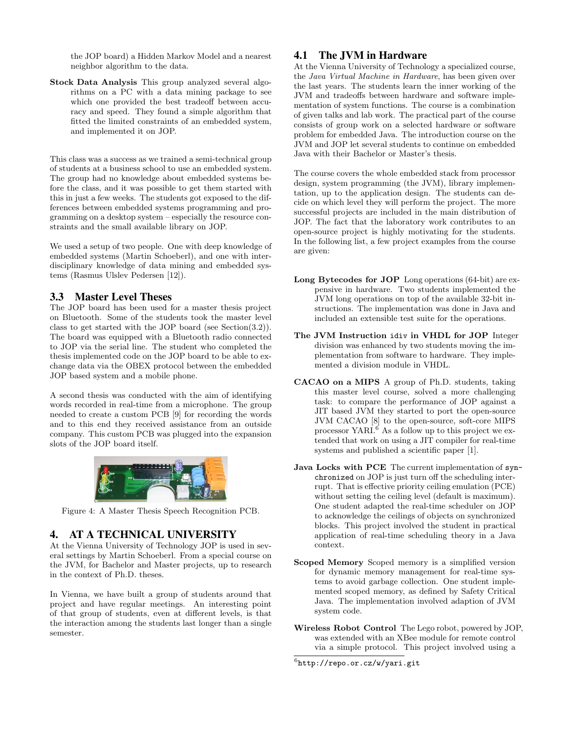the JOP board) a Hidden Markov Model and a nearest neighbor algorithm to the data.

Stock Data Analysis This group analyzed several algorithms on a PC with a data mining package to see which one provided the best tradeoff between accuracy and speed. They found a simple algorithm that fitted the limited constraints of an embedded system, and implemented it on JOP.

This class was a success as we trained a semi-technical group of students at a business school to use an embedded system. The group had no knowledge about embedded systems before the class, and it was possible to get them started with this in just a few weeks. The students got exposed to the differences between embedded systems programming and programming on a desktop system – especially the resource constraints and the small available library on JOP.

We used a setup of two people. One with deep knowledge of embedded systems (Martin Schoeberl), and one with interdisciplinary knowledge of data mining and embedded systems (Rasmus Ulslev Pedersen [12]).

#### 3.3 Master Level Theses

The JOP board has been used for a master thesis project on Bluetooth. Some of the students took the master level class to get started with the JOP board (see Section(3.2)). The board was equipped with a Bluetooth radio connected to JOP via the serial line. The student who completed the thesis implemented code on the JOP board to be able to exchange data via the OBEX protocol between the embedded JOP based system and a mobile phone.

A second thesis was conducted with the aim of identifying words recorded in real-time from a microphone. The group needed to create a custom PCB [9] for recording the words and to this end they received assistance from an outside company. This custom PCB was plugged into the expansion slots of the JOP board itself.



Figure 4: A Master Thesis Speech Recognition PCB.

#### 4. AT A TECHNICAL UNIVERSITY

At the Vienna University of Technology JOP is used in several settings by Martin Schoeberl. From a special course on the JVM, for Bachelor and Master projects, up to research in the context of Ph.D. theses.

In Vienna, we have built a group of students around that project and have regular meetings. An interesting point of that group of students, even at different levels, is that the interaction among the students last longer than a single semester.

#### 4.1 The JVM in Hardware

At the Vienna University of Technology a specialized course, the Java Virtual Machine in Hardware, has been given over the last years. The students learn the inner working of the JVM and tradeoffs between hardware and software implementation of system functions. The course is a combination of given talks and lab work. The practical part of the course consists of group work on a selected hardware or software problem for embedded Java. The introduction course on the JVM and JOP let several students to continue on embedded Java with their Bachelor or Master's thesis.

The course covers the whole embedded stack from processor design, system programming (the JVM), library implementation, up to the application design. The students can decide on which level they will perform the project. The more successful projects are included in the main distribution of JOP. The fact that the laboratory work contributes to an open-source project is highly motivating for the students. In the following list, a few project examples from the course are given:

- Long Bytecodes for JOP Long operations (64-bit) are expensive in hardware. Two students implemented the JVM long operations on top of the available 32-bit instructions. The implementation was done in Java and included an extensible test suite for the operations.
- The JVM Instruction idiv in VHDL for JOP Integer division was enhanced by two students moving the implementation from software to hardware. They implemented a division module in VHDL.
- CACAO on a MIPS A group of Ph.D. students, taking this master level course, solved a more challenging task: to compare the performance of JOP against a JIT based JVM they started to port the open-source JVM CACAO [8] to the open-source, soft-core MIPS processor YARI. $\overset{\circ}{\rm 6}$  As a follow up to this project we extended that work on using a JIT compiler for real-time systems and published a scientific paper [1].
- Java Locks with PCE The current implementation of synchronized on JOP is just turn off the scheduling interrupt. That is effective priority ceiling emulation (PCE) without setting the ceiling level (default is maximum). One student adapted the real-time scheduler on JOP to acknowledge the ceilings of objects on synchronized blocks. This project involved the student in practical application of real-time scheduling theory in a Java context.
- Scoped Memory Scoped memory is a simplified version for dynamic memory management for real-time systems to avoid garbage collection. One student implemented scoped memory, as defined by Safety Critical Java. The implementation involved adaption of JVM system code.
- Wireless Robot Control The Lego robot, powered by JOP, was extended with an XBee module for remote control via a simple protocol. This project involved using a

 $^6$ http://repo.or.cz/w/yari.git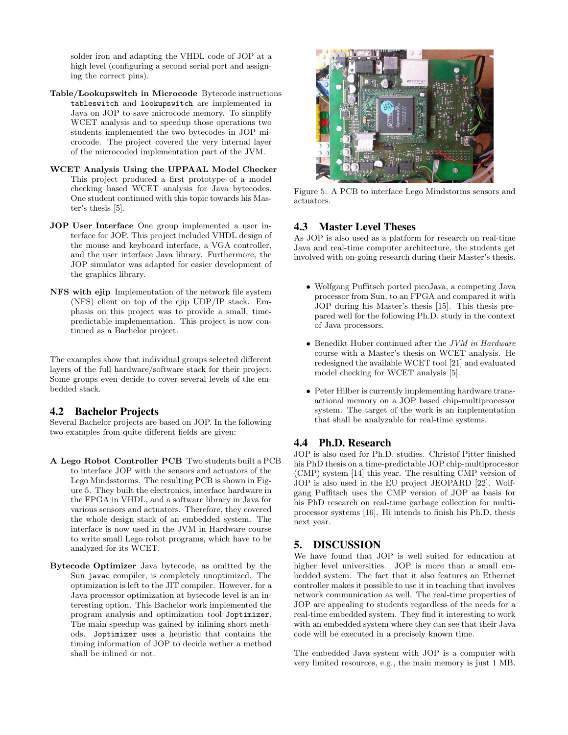solder iron and adapting the VHDL code of JOP at a high level (configuring a second serial port and assigning the correct pins).

- Table/Lookupswitch in Microcode Bytecode instructions tableswitch and lookupswitch are implemented in Java on JOP to save microcode memory. To simplify WCET analysis and to speedup those operations two students implemented the two bytecodes in JOP microcode. The project covered the very internal layer of the microcoded implementation part of the JVM.
- WCET Analysis Using the UPPAAL Model Checker This project produced a first prototype of a model checking based WCET analysis for Java bytecodes. One student continued with this topic towards his Master's thesis [5].
- JOP User Interface One group implemented a user interface for JOP. This project included VHDL design of the mouse and keyboard interface, a VGA controller, and the user interface Java library. Furthermore, the JOP simulator was adapted for easier development of the graphics library.
- NFS with ejip Implementation of the network file system (NFS) client on top of the ejip UDP/IP stack. Emphasis on this project was to provide a small, timepredictable implementation. This project is now continued as a Bachelor project.

The examples show that individual groups selected different layers of the full hardware/software stack for their project. Some groups even decide to cover several levels of the embedded stack.

#### 4.2 Bachelor Projects

Several Bachelor projects are based on JOP. In the following two examples from quite different fields are given:

- A Lego Robot Controller PCB Two students built a PCB to interface JOP with the sensors and actuators of the Lego Mindsstorms. The resulting PCB is shown in Figure 5. They built the electronics, interface hardware in the FPGA in VHDL, and a software library in Java for various sensors and actuators. Therefore, they covered the whole design stack of an embedded system. The interface is now used in the JVM in Hardware course to write small Lego robot programs, which have to be analyzed for its WCET.
- Bytecode Optimizer Java bytecode, as omitted by the Sun javac compiler, is completely unoptimized. The optimization is left to the JIT compiler. However, for a Java processor optimization at bytecode level is an interesting option. This Bachelor work implemented the program analysis and optimization tool Joptimizer. The main speedup was gained by inlining short methods. Joptimizer uses a heuristic that contains the timing information of JOP to decide wether a method shall be inlined or not.



Figure 5: A PCB to interface Lego Mindstorms sensors and actuators.

## 4.3 Master Level Theses

As JOP is also used as a platform for research on real-time Java and real-time computer architecture, the students get involved with on-going research during their Master's thesis.

- Wolfgang Puffitsch ported picoJava, a competing Java processor from Sun, to an FPGA and compared it with JOP during his Master's thesis [15]. This thesis prepared well for the following Ph.D. study in the context of Java processors.
- Benedikt Huber continued after the JVM in Hardware course with a Master's thesis on WCET analysis. He redesigned the available WCET tool [21] and evaluated model checking for WCET analysis [5].
- Peter Hilber is currently implementing hardware transactional memory on a JOP based chip-multiprocessor system. The target of the work is an implementation that shall be analyzable for real-time systems.

## 4.4 Ph.D. Research

JOP is also used for Ph.D. studies. Christof Pitter finished his PhD thesis on a time-predictable JOP chip-multiprocessor (CMP) system [14] this year. The resulting CMP version of JOP is also used in the EU project JEOPARD [22]. Wolfgang Puffitsch uses the CMP version of JOP as basis for his PhD research on real-time garbage collection for multiprocessor systems [16]. Hi intends to finish his Ph.D. thesis next year.

# 5. DISCUSSION

We have found that JOP is well suited for education at higher level universities. JOP is more than a small embedded system. The fact that it also features an Ethernet controller makes it possible to use it in teaching that involves network communication as well. The real-time properties of JOP are appealing to students regardless of the needs for a real-time embedded system. They find it interesting to work with an embedded system where they can see that their Java code will be executed in a precisely known time.

The embedded Java system with JOP is a computer with very limited resources, e.g., the main memory is just 1 MB.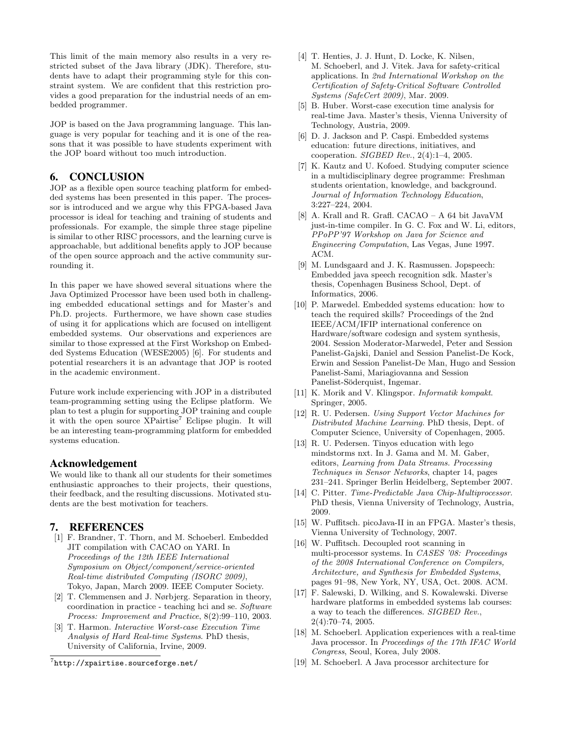This limit of the main memory also results in a very restricted subset of the Java library (JDK). Therefore, students have to adapt their programming style for this constraint system. We are confident that this restriction provides a good preparation for the industrial needs of an embedded programmer.

JOP is based on the Java programming language. This language is very popular for teaching and it is one of the reasons that it was possible to have students experiment with the JOP board without too much introduction.

#### 6. CONCLUSION

JOP as a flexible open source teaching platform for embedded systems has been presented in this paper. The processor is introduced and we argue why this FPGA-based Java processor is ideal for teaching and training of students and professionals. For example, the simple three stage pipeline is similar to other RISC processors, and the learning curve is approachable, but additional benefits apply to JOP because of the open source approach and the active community surrounding it.

In this paper we have showed several situations where the Java Optimized Processor have been used both in challenging embedded educational settings and for Master's and Ph.D. projects. Furthermore, we have shown case studies of using it for applications which are focused on intelligent embedded systems. Our observations and experiences are similar to those expressed at the First Workshop on Embedded Systems Education (WESE2005) [6]. For students and potential researchers it is an advantage that JOP is rooted in the academic environment.

Future work include experiencing with JOP in a distributed team-programming setting using the Eclipse platform. We plan to test a plugin for supporting JOP training and couple it with the open source  $XPairtise<sup>7</sup>$  Eclipse plugin. It will be an interesting team-programming platform for embedded systems education.

#### Acknowledgement

We would like to thank all our students for their sometimes enthusiastic approaches to their projects, their questions, their feedback, and the resulting discussions. Motivated students are the best motivation for teachers.

#### 7. REFERENCES

- [1] F. Brandner, T. Thorn, and M. Schoeberl. Embedded JIT compilation with CACAO on YARI. In Proceedings of the 12th IEEE International Symposium on Object/component/service-oriented Real-time distributed Computing (ISORC 2009), Tokyo, Japan, March 2009. IEEE Computer Society.
- [2] T. Clemmensen and J. Nørbjerg. Separation in theory, coordination in practice - teaching hci and se. Software Process: Improvement and Practice, 8(2):99–110, 2003.
- [3] T. Harmon. Interactive Worst-case Execution Time Analysis of Hard Real-time Systems. PhD thesis, University of California, Irvine, 2009.

7 http://xpairtise.sourceforge.net/

- [4] T. Henties, J. J. Hunt, D. Locke, K. Nilsen, M. Schoeberl, and J. Vitek. Java for safety-critical applications. In 2nd International Workshop on the Certification of Safety-Critical Software Controlled Systems (SafeCert 2009), Mar. 2009.
- [5] B. Huber. Worst-case execution time analysis for real-time Java. Master's thesis, Vienna University of Technology, Austria, 2009.
- [6] D. J. Jackson and P. Caspi. Embedded systems education: future directions, initiatives, and cooperation. SIGBED Rev., 2(4):1–4, 2005.
- [7] K. Kautz and U. Kofoed. Studying computer science in a multidisciplinary degree programme: Freshman students orientation, knowledge, and background. Journal of Information Technology Education, 3:227–224, 2004.
- [8] A. Krall and R. Grafl. CACAO A 64 bit JavaVM just-in-time compiler. In G. C. Fox and W. Li, editors, PPoPP'97 Workshop on Java for Science and Engineering Computation, Las Vegas, June 1997. ACM.
- [9] M. Lundsgaard and J. K. Rasmussen. Jopspeech: Embedded java speech recognition sdk. Master's thesis, Copenhagen Business School, Dept. of Informatics, 2006.
- [10] P. Marwedel. Embedded systems education: how to teach the required skills? Proceedings of the 2nd IEEE/ACM/IFIP international conference on Hardware/software codesign and system synthesis, 2004. Session Moderator-Marwedel, Peter and Session Panelist-Gajski, Daniel and Session Panelist-De Kock, Erwin and Session Panelist-De Man, Hugo and Session Panelist-Sami, Mariagiovanna and Session Panelist-Söderquist, Ingemar.
- [11] K. Morik and V. Klingspor. Informatik kompakt. Springer, 2005.
- [12] R. U. Pedersen. Using Support Vector Machines for Distributed Machine Learning. PhD thesis, Dept. of Computer Science, University of Copenhagen, 2005.
- [13] R. U. Pedersen. Tinyos education with lego mindstorms nxt. In J. Gama and M. M. Gaber, editors, Learning from Data Streams. Processing Techniques in Sensor Networks, chapter 14, pages 231–241. Springer Berlin Heidelberg, September 2007.
- [14] C. Pitter. Time-Predictable Java Chip-Multiprocessor. PhD thesis, Vienna University of Technology, Austria, 2009.
- [15] W. Puffitsch. picoJava-II in an FPGA. Master's thesis, Vienna University of Technology, 2007.
- [16] W. Puffitsch. Decoupled root scanning in multi-processor systems. In CASES '08: Proceedings of the 2008 International Conference on Compilers, Architecture, and Synthesis for Embedded Systems, pages 91–98, New York, NY, USA, Oct. 2008. ACM.
- [17] F. Salewski, D. Wilking, and S. Kowalewski. Diverse hardware platforms in embedded systems lab courses: a way to teach the differences. SIGBED Rev., 2(4):70–74, 2005.
- [18] M. Schoeberl. Application experiences with a real-time Java processor. In Proceedings of the 17th IFAC World Congress, Seoul, Korea, July 2008.
- [19] M. Schoeberl. A Java processor architecture for